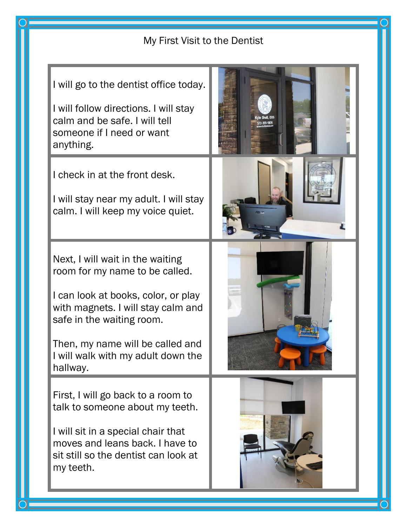## My First Visit to the Dentist

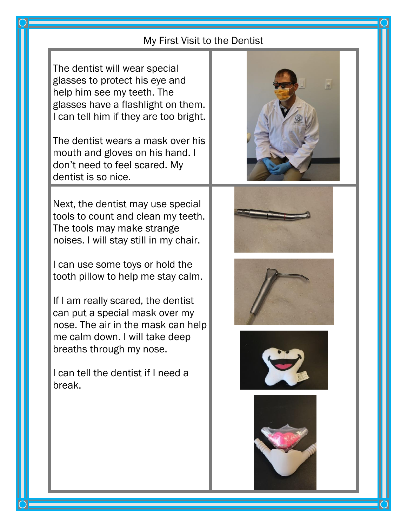## My First Visit to the Dentist

The dentist will wear special glasses to protect his eye and help him see my teeth. The glasses have a flashlight on them. I can tell him if they are too bright.

The dentist wears a mask over his mouth and gloves on his hand. I don't need to feel scared. My dentist is so nice.

Next, the dentist may use special tools to count and clean my teeth. The tools may make strange noises. I will stay still in my chair.

I can use some toys or hold the tooth pillow to help me stay calm.

If I am really scared, the dentist can put a special mask over my nose. The air in the mask can help me calm down. I will take deep breaths through my nose.

I can tell the dentist if I need a break.











l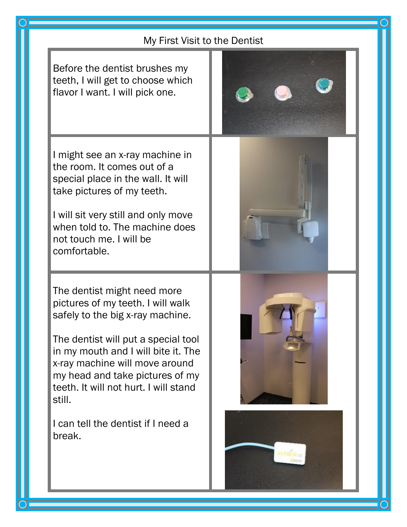